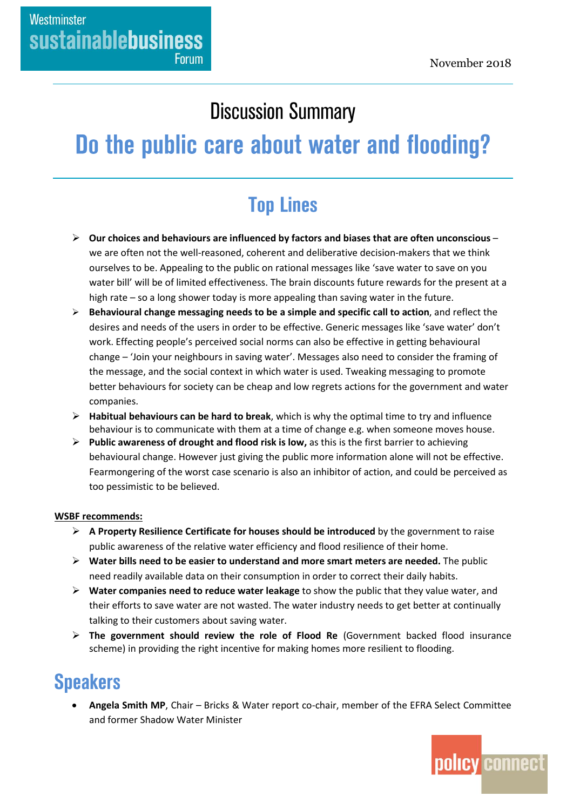### **Discussion Summary**

# Do the public care about water and flooding?

## **Top Lines**

- **Our choices and behaviours are influenced by factors and biases that are often unconscious** we are often not the well-reasoned, coherent and deliberative decision-makers that we think ourselves to be. Appealing to the public on rational messages like 'save water to save on you water bill' will be of limited effectiveness. The brain discounts future rewards for the present at a high rate – so a long shower today is more appealing than saving water in the future.
- **Behavioural change messaging needs to be a simple and specific call to action**, and reflect the desires and needs of the users in order to be effective. Generic messages like 'save water' don't work. Effecting people's perceived social norms can also be effective in getting behavioural change – 'Join your neighbours in saving water'. Messages also need to consider the framing of the message, and the social context in which water is used. Tweaking messaging to promote better behaviours for society can be cheap and low regrets actions for the government and water companies.
- **Habitual behaviours can be hard to break**, which is why the optimal time to try and influence behaviour is to communicate with them at a time of change e.g. when someone moves house.
- **Public awareness of drought and flood risk is low,** as this is the first barrier to achieving behavioural change. However just giving the public more information alone will not be effective. Fearmongering of the worst case scenario is also an inhibitor of action, and could be perceived as too pessimistic to be believed.

#### **WSBF recommends:**

- **A Property Resilience Certificate for houses should be introduced** by the government to raise public awareness of the relative water efficiency and flood resilience of their home.
- **Water bills need to be easier to understand and more smart meters are needed.** The public need readily available data on their consumption in order to correct their daily habits.
- **Water companies need to reduce water leakage** to show the public that they value water, and their efforts to save water are not wasted. The water industry needs to get better at continually talking to their customers about saving water.
- **The government should review the role of Flood Re** (Government backed flood insurance scheme) in providing the right incentive for making homes more resilient to flooding.

### **Speakers**

 **Angela Smith MP**, Chair – Bricks & Water report co-chair, member of the EFRA Select Committee and former Shadow Water Minister

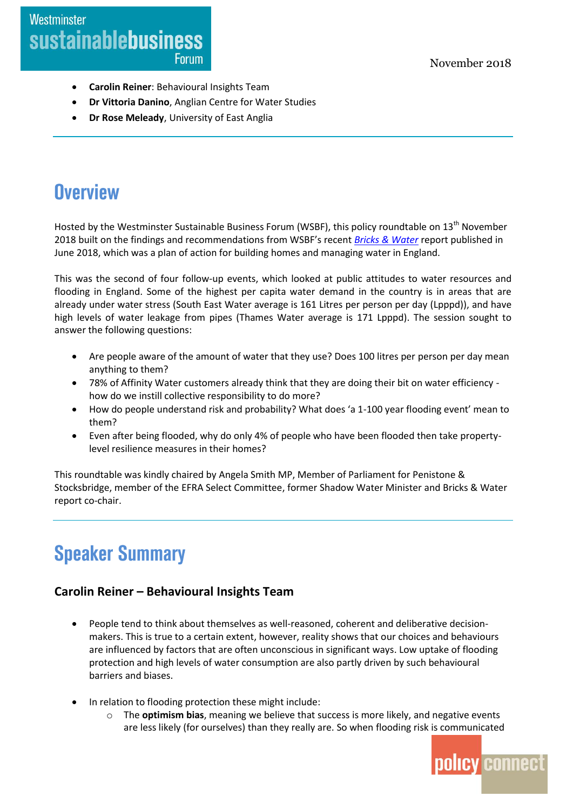- **Carolin Reiner**: Behavioural Insights Team
- **Dr Vittoria Danino**, Anglian Centre for Water Studies
- **Dr Rose Meleady**, University of East Anglia

### **Overview**

Hosted by the Westminster Sustainable Business Forum (WSBF), this policy roundtable on 13th November 2018 built on the findings and recommendations from WSBF's recent *[Bricks & Water](https://www.policyconnect.org.uk/research/bricks-water-plan-action-building-homes-and-managing-water-england)* report published in June 2018, which was a plan of action for building homes and managing water in England.

This was the second of four follow-up events, which looked at public attitudes to water resources and flooding in England. Some of the highest per capita water demand in the country is in areas that are already under water stress (South East Water average is 161 Litres per person per day (Lpppd)), and have high levels of water leakage from pipes (Thames Water average is 171 Lpppd). The session sought to answer the following questions:

- Are people aware of the amount of water that they use? Does 100 litres per person per day mean anything to them?
- 78% of Affinity Water customers already think that they are doing their bit on water efficiency how do we instill collective responsibility to do more?
- How do people understand risk and probability? What does 'a 1-100 year flooding event' mean to them?
- Even after being flooded, why do only 4% of people who have been flooded then take propertylevel resilience measures in their homes?

This roundtable was kindly chaired by Angela Smith MP, Member of Parliament for Penistone & Stocksbridge, member of the EFRA Select Committee, former Shadow Water Minister and Bricks & Water report co-chair.

## **Speaker Summary**

#### **Carolin Reiner – Behavioural Insights Team**

- People tend to think about themselves as well-reasoned, coherent and deliberative decisionmakers. This is true to a certain extent, however, reality shows that our choices and behaviours are influenced by factors that are often unconscious in significant ways. Low uptake of flooding protection and high levels of water consumption are also partly driven by such behavioural barriers and biases.
- In relation to flooding protection these might include:
	- o The **optimism bias**, meaning we believe that success is more likely, and negative events are less likely (for ourselves) than they really are. So when flooding risk is communicated

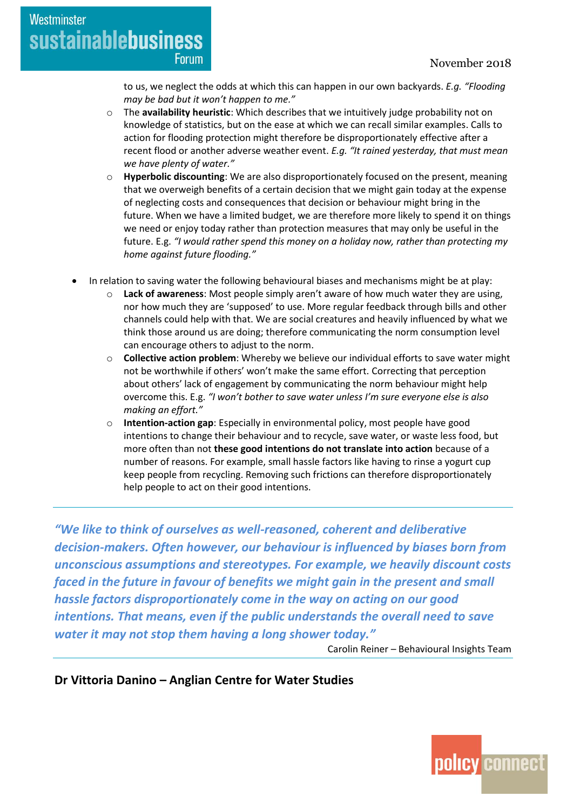to us, we neglect the odds at which this can happen in our own backyards. *E.g. "Flooding may be bad but it won't happen to me."*

- o The **availability heuristic**: Which describes that we intuitively judge probability not on knowledge of statistics, but on the ease at which we can recall similar examples. Calls to action for flooding protection might therefore be disproportionately effective after a recent flood or another adverse weather event. *E.g. "It rained yesterday, that must mean we have plenty of water."*
- **Hyperbolic discounting**: We are also disproportionately focused on the present, meaning that we overweigh benefits of a certain decision that we might gain today at the expense of neglecting costs and consequences that decision or behaviour might bring in the future. When we have a limited budget, we are therefore more likely to spend it on things we need or enjoy today rather than protection measures that may only be useful in the future. E.g. *"I would rather spend this money on a holiday now, rather than protecting my home against future flooding."*
- In relation to saving water the following behavioural biases and mechanisms might be at play:
	- **Lack of awareness:** Most people simply aren't aware of how much water they are using, nor how much they are 'supposed' to use. More regular feedback through bills and other channels could help with that. We are social creatures and heavily influenced by what we think those around us are doing; therefore communicating the norm consumption level can encourage others to adjust to the norm.
	- o **Collective action problem**: Whereby we believe our individual efforts to save water might not be worthwhile if others' won't make the same effort. Correcting that perception about others' lack of engagement by communicating the norm behaviour might help overcome this. E.g. *"I won't bother to save water unless I'm sure everyone else is also making an effort."*
	- o **Intention-action gap**: Especially in environmental policy, most people have good intentions to change their behaviour and to recycle, save water, or waste less food, but more often than not **these good intentions do not translate into action** because of a number of reasons. For example, small hassle factors like having to rinse a yogurt cup keep people from recycling. Removing such frictions can therefore disproportionately help people to act on their good intentions.

*"We like to think of ourselves as well-reasoned, coherent and deliberative decision-makers. Often however, our behaviour is influenced by biases born from unconscious assumptions and stereotypes. For example, we heavily discount costs faced in the future in favour of benefits we might gain in the present and small hassle factors disproportionately come in the way on acting on our good intentions. That means, even if the public understands the overall need to save water it may not stop them having a long shower today."*

Carolin Reiner – Behavioural Insights Team

**Dr Vittoria Danino – Anglian Centre for Water Studies**

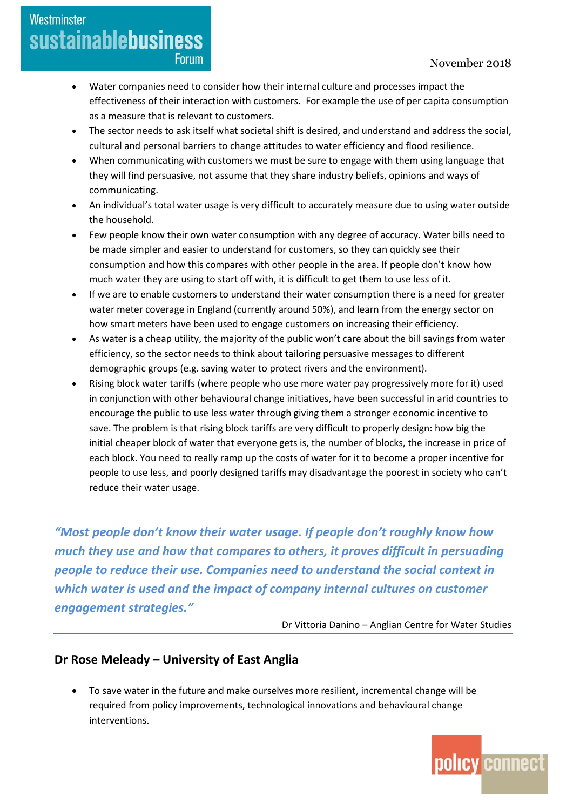#### November 2018

### Westminster **sustainablebusiness Forum**

- Water companies need to consider how their internal culture and processes impact the effectiveness of their interaction with customers. For example the use of per capita consumption as a measure that is relevant to customers.
- The sector needs to ask itself what societal shift is desired, and understand and address the social, cultural and personal barriers to change attitudes to water efficiency and flood resilience.
- When communicating with customers we must be sure to engage with them using language that they will find persuasive, not assume that they share industry beliefs, opinions and ways of communicating.
- An individual's total water usage is very difficult to accurately measure due to using water outside the household.
- Few people know their own water consumption with any degree of accuracy. Water bills need to be made simpler and easier to understand for customers, so they can quickly see their consumption and how this compares with other people in the area. If people don't know how much water they are using to start off with, it is difficult to get them to use less of it.
- If we are to enable customers to understand their water consumption there is a need for greater water meter coverage in England (currently around 50%), and learn from the energy sector on how smart meters have been used to engage customers on increasing their efficiency.
- As water is a cheap utility, the majority of the public won't care about the bill savings from water efficiency, so the sector needs to think about tailoring persuasive messages to different demographic groups (e.g. saving water to protect rivers and the environment).
- Rising block water tariffs (where people who use more water pay progressively more for it) used in conjunction with other behavioural change initiatives, have been successful in arid countries to encourage the public to use less water through giving them a stronger economic incentive to save. The problem is that rising block tariffs are very difficult to properly design: how big the initial cheaper block of water that everyone gets is, the number of blocks, the increase in price of each block. You need to really ramp up the costs of water for it to become a proper incentive for people to use less, and poorly designed tariffs may disadvantage the poorest in society who can't reduce their water usage.

*"Most people don't know their water usage. If people don't roughly know how much they use and how that compares to others, it proves difficult in persuading people to reduce their use. Companies need to understand the social context in which water is used and the impact of company internal cultures on customer engagement strategies."*

Dr Vittoria Danino – Anglian Centre for Water Studies

#### **Dr Rose Meleady – University of East Anglia**

 To save water in the future and make ourselves more resilient, incremental change will be required from policy improvements, technological innovations and behavioural change interventions.

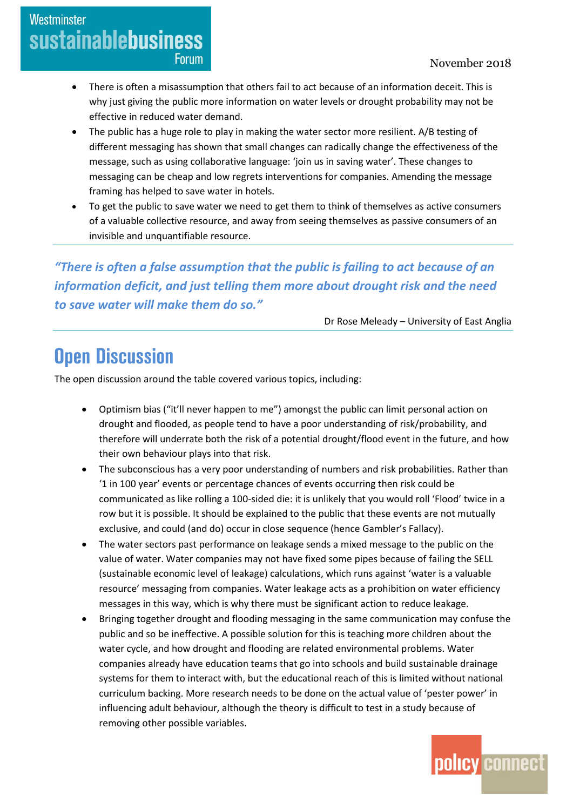### Westminster **sustainablebusiness Forum**

- There is often a misassumption that others fail to act because of an information deceit. This is why just giving the public more information on water levels or drought probability may not be effective in reduced water demand.
- The public has a huge role to play in making the water sector more resilient. A/B testing of different messaging has shown that small changes can radically change the effectiveness of the message, such as using collaborative language: 'join us in saving water'. These changes to messaging can be cheap and low regrets interventions for companies. Amending the message framing has helped to save water in hotels.
- To get the public to save water we need to get them to think of themselves as active consumers of a valuable collective resource, and away from seeing themselves as passive consumers of an invisible and unquantifiable resource.

*"There is often a false assumption that the public is failing to act because of an information deficit, and just telling them more about drought risk and the need to save water will make them do so."*

Dr Rose Meleady – University of East Anglia

### **Open Discussion**

The open discussion around the table covered various topics, including:

- Optimism bias ("it'll never happen to me") amongst the public can limit personal action on drought and flooded, as people tend to have a poor understanding of risk/probability, and therefore will underrate both the risk of a potential drought/flood event in the future, and how their own behaviour plays into that risk.
- The subconscious has a very poor understanding of numbers and risk probabilities. Rather than '1 in 100 year' events or percentage chances of events occurring then risk could be communicated as like rolling a 100-sided die: it is unlikely that you would roll 'Flood' twice in a row but it is possible. It should be explained to the public that these events are not mutually exclusive, and could (and do) occur in close sequence (hence Gambler's Fallacy).
- The water sectors past performance on leakage sends a mixed message to the public on the value of water. Water companies may not have fixed some pipes because of failing the SELL (sustainable economic level of leakage) calculations, which runs against 'water is a valuable resource' messaging from companies. Water leakage acts as a prohibition on water efficiency messages in this way, which is why there must be significant action to reduce leakage.
- Bringing together drought and flooding messaging in the same communication may confuse the public and so be ineffective. A possible solution for this is teaching more children about the water cycle, and how drought and flooding are related environmental problems. Water companies already have education teams that go into schools and build sustainable drainage systems for them to interact with, but the educational reach of this is limited without national curriculum backing. More research needs to be done on the actual value of 'pester power' in influencing adult behaviour, although the theory is difficult to test in a study because of removing other possible variables.

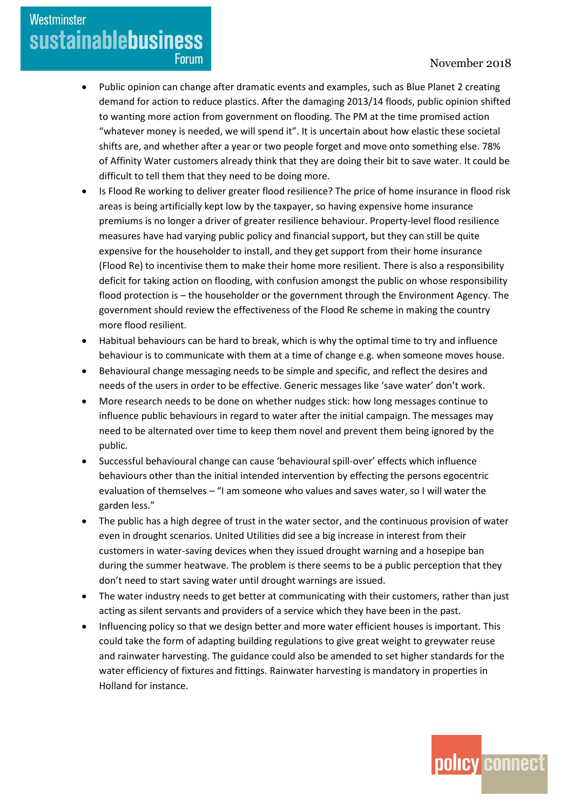#### November 2018

• Public opinion can change after dramatic events and examples, such as Blue Planet 2 creating demand for action to reduce plastics. After the damaging 2013/14 floods, public opinion shifted to wanting more action from government on flooding. The PM at the time promised action "whatever money is needed, we will spend it". It is uncertain about how elastic these societal shifts are, and whether after a year or two people forget and move onto something else. 78% of Affinity Water customers already think that they are doing their bit to save water. It could be difficult to tell them that they need to be doing more.

Westminster

**sustainablebusiness** 

**Forum** 

- Is Flood Re working to deliver greater flood resilience? The price of home insurance in flood risk areas is being artificially kept low by the taxpayer, so having expensive home insurance premiums is no longer a driver of greater resilience behaviour. Property-level flood resilience measures have had varying public policy and financial support, but they can still be quite expensive for the householder to install, and they get support from their home insurance (Flood Re) to incentivise them to make their home more resilient. There is also a responsibility deficit for taking action on flooding, with confusion amongst the public on whose responsibility flood protection is – the householder or the government through the Environment Agency. The government should review the effectiveness of the Flood Re scheme in making the country more flood resilient.
- Habitual behaviours can be hard to break, which is why the optimal time to try and influence behaviour is to communicate with them at a time of change e.g. when someone moves house.
- Behavioural change messaging needs to be simple and specific, and reflect the desires and needs of the users in order to be effective. Generic messages like 'save water' don't work.
- More research needs to be done on whether nudges stick: how long messages continue to influence public behaviours in regard to water after the initial campaign. The messages may need to be alternated over time to keep them novel and prevent them being ignored by the public.
- Successful behavioural change can cause 'behavioural spill-over' effects which influence behaviours other than the initial intended intervention by effecting the persons egocentric evaluation of themselves – "I am someone who values and saves water, so I will water the garden less."
- The public has a high degree of trust in the water sector, and the continuous provision of water even in drought scenarios. United Utilities did see a big increase in interest from their customers in water-saving devices when they issued drought warning and a hosepipe ban during the summer heatwave. The problem is there seems to be a public perception that they don't need to start saving water until drought warnings are issued.
- The water industry needs to get better at communicating with their customers, rather than just acting as silent servants and providers of a service which they have been in the past.
- Influencing policy so that we design better and more water efficient houses is important. This could take the form of adapting building regulations to give great weight to greywater reuse and rainwater harvesting. The guidance could also be amended to set higher standards for the water efficiency of fixtures and fittings. Rainwater harvesting is mandatory in properties in Holland for instance.